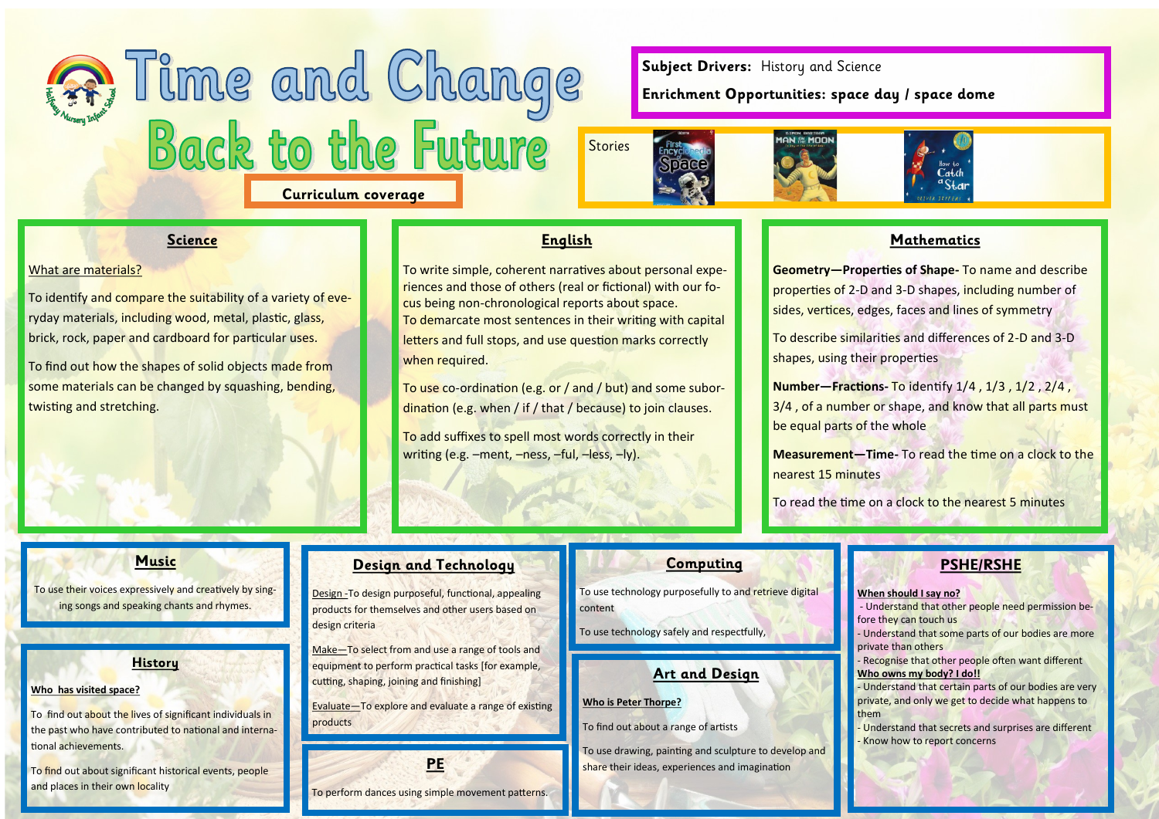# Time and Change **Curriculum coverage**

**Subject Drivers:** History and Science

**Enrichment Opportunities: space day / space dome**







#### **Science**

#### What are materials?

To identify and compare the suitability of a variety of everyday materials, including wood, metal, plastic, glass, brick, rock, paper and cardboard for particular uses.

To find out how the shapes of solid objects made from some materials can be changed by squashing, bending, twisting and stretching.

**English**

To write simple, coherent narratives about personal experiences and those of others (real or fictional) with our focus being non-chronological reports about space. To demarcate most sentences in their writing with capital letters and full stops, and use question marks correctly when required.

To use co-ordination (e.g. or / and / but) and some subordination (e.g. when / if / that / because) to join clauses.

To add suffixes to spell most words correctly in their writing (e.g. –ment, –ness, –ful, –less, –ly).

# **Mathematics**

**Geometry—Properties of Shape-** To name and describe properties of 2-D and 3-D shapes, including number of sides, vertices, edges, faces and lines of symmetry

To describe similarities and differences of 2-D and 3-D shapes, using their properties

**Number—Fractions-** To identify 1/4 , 1/3 , 1/2 , 2/4 , 3/4 , of a number or shape, and know that all parts must be equal parts of the whole

**Measurement—Time-** To read the time on a clock to the nearest 15 minutes

To read the time on a clock to the nearest 5 minutes

#### **Music**

To use their voices expressively and creatively by singing songs and speaking chants and rhymes.

#### **History**

#### **Who has visited space?**

To find out about the lives of significant individuals in the past who have contributed to national and international achievements.

To find out about significant historical events, people and places in their own locality

#### **Design and Technology**

Design -To design purposeful, functional, appealing products for themselves and other users based on design criteria

Make—To select from and use a range of tools and equipment to perform practical tasks [for example, cutting, shaping, joining and finishing]

Evaluate—To explore and evaluate a range of existing products

**PE**

To perform dances using simple movement patterns.

#### **Computing**

To use technology purposefully to and retrieve digital content

To use technology safely and respectfully,

#### **Art and Design**

#### **Who is Peter Thorpe?**

To find out about a range of artists

To use drawing, painting and sculpture to develop and share their ideas, experiences and imagination

# **PSHE/RSHE**

#### **When should I say no?**

Understand that other people need permission before they can touch us

Understand that some parts of our bodies are more private than others

Recognise that other people often want different **Who owns my body? I do!!**

- Understand that certain parts of our bodies are very private, and only we get to decide what happens to them

Understand that secrets and surprises are different Know how to report concerns